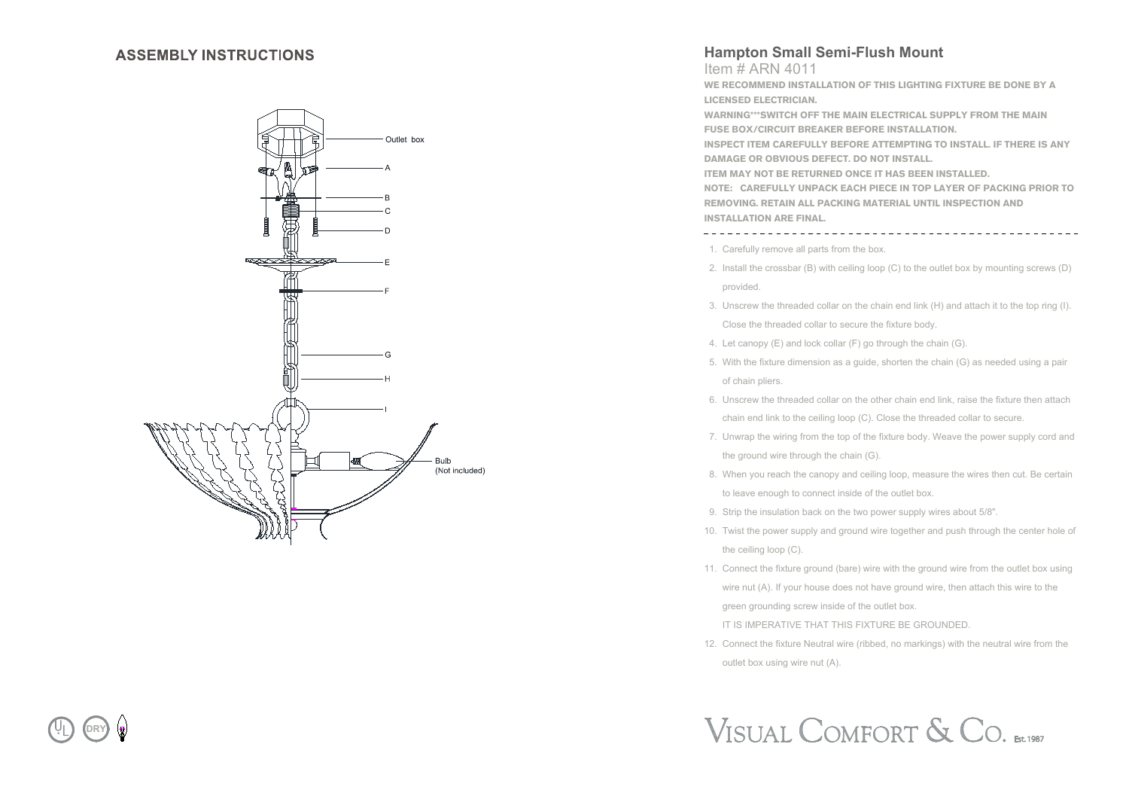#### **ASSEMBLY INSTRUCTIONS**



### **Hampton Small Semi-Flush Mount**

Item # ARN 4011

**WE RECOMMEND INSTALLATION OF THIS LIGHTING FIXTURE BE DONE BY A LICENSED ELECTRICIAN.**

**WARNING\*\*\*SWITCH OFF THE MAIN ELECTRICAL SUPPLY FROM THE MAIN FUSE BOX/CIRCUIT BREAKER BEFORE INSTALLATION.**

**INSPECT ITEM CAREFULLY BEFORE ATTEMPTING TO INSTALL. IF THERE IS ANY DAMAGE OR OBVIOUS DEFECT. DO NOT INSTALL.**

**ITEM MAY NOT BE RETURNED ONCE IT HAS BEEN INSTALLED.**

**NOTE: CAREFULLY UNPACK EACH PIECE IN TOP LAYER OF PACKING PRIOR TO REMOVING. RETAIN ALL PACKING MATERIAL UNTIL INSPECTION AND INSTALLATION ARE FINAL.** 

1. Carefully remove all parts from the box.

- 2. Install the crossbar (B) with ceiling loop (C) to the outlet box by mounting screws (D) provided.
- 3. Unscrew the threaded collar on the chain end link (H) and attach it to the top ring (I). Close the threaded collar to secure the fixture body.
- 4. Let canopy (E) and lock collar (F) go through the chain (G).
- 5. With the fixture dimension as a guide, shorten the chain (G) as needed using a pair of chain pliers.
- 6. Unscrew the threaded collar on the other chain end link, raise the fixture then attach chain end link to the ceiling loop (C). Close the threaded collar to secure.
- 7. Unwrap the wiring from the top of the fixture body. Weave the power supply cord and the ground wire through the chain (G).
- 8. When you reach the canopy and ceiling loop, measure the wires then cut. Be certain to leave enough to connect inside of the outlet box.
- 9. Strip the insulation back on the two power supply wires about 5/8".
- 10. Twist the power supply and ground wire together and push through the center hole of the ceiling loop (C).
- 11. Connect the fixture ground (bare) wire with the ground wire from the outlet box using wire nut (A). If your house does not have ground wire, then attach this wire to the green grounding screw inside of the outlet box.

IT IS IMPERATIVE THAT THIS FIXTURE BE GROUNDED.

12. Connect the fixture Neutral wire (ribbed, no markings) with the neutral wire from the outlet box using wire nut (A).